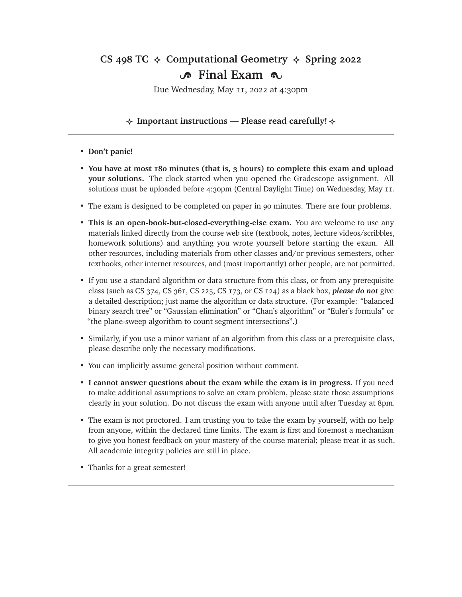## **CS** 498 TC  $\leftrightarrow$  Computational Geometry  $\leftrightarrow$  Spring 2022 9 **Final Exam** :

Due Wednesday, May 11, 2022 at 4:30pm

## $\triangle$  Important instructions — Please read carefully!  $\triangle$

- **Don't panic!**
- **You have at most 180 minutes (that is, 3 hours) to complete this exam and upload your solutions.** The clock started when you opened the Gradescope assignment. All solutions must be uploaded before 4:30pm (Central Daylight Time) on Wednesday, May 11.
- The exam is designed to be completed on paper in 90 minutes. There are four problems.
- **This is an open-book-but-closed-everything-else exam.** You are welcome to use any materials linked directly from the course web site (textbook, notes, lecture videos/scribbles, homework solutions) and anything you wrote yourself before starting the exam. All other resources, including materials from other classes and/or previous semesters, other textbooks, other internet resources, and (most importantly) other people, are not permitted.
- If you use a standard algorithm or data structure from this class, or from any prerequisite class (such as CS 374, CS 361, CS 225, CS 173, or CS 124) as a black box, *please do not* give a detailed description; just name the algorithm or data structure. (For example: "balanced binary search tree" or "Gaussian elimination" or "Chan's algorithm" or "Euler's formula" or "the plane-sweep algorithm to count segment intersections".)
- Similarly, if you use a minor variant of an algorithm from this class or a prerequisite class, please describe only the necessary modifications.
- You can implicitly assume general position without comment.
- **I cannot answer questions about the exam while the exam is in progress.** If you need to make additional assumptions to solve an exam problem, please state those assumptions clearly in your solution. Do not discuss the exam with anyone until after Tuesday at 8pm.
- The exam is not proctored. I am trusting you to take the exam by yourself, with no help from anyone, within the declared time limits. The exam is first and foremost a mechanism to give you honest feedback on your mastery of the course material; please treat it as such. All academic integrity policies are still in place.
- Thanks for a great semester!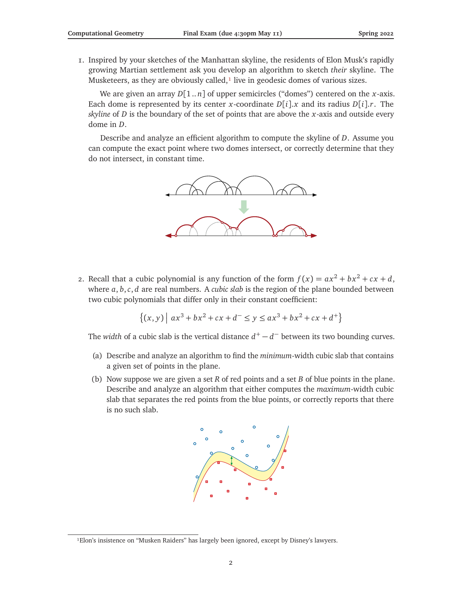1. Inspired by your sketches of the Manhattan skyline, the residents of Elon Musk's rapidly growing Martian settlement ask you develop an algorithm to sketch *their* skyline. The Musketeers, as they are obviously called, $1$  live in geodesic domes of various sizes.

We are given an array  $D[1..n]$  of upper semicircles ("domes") centered on the *x*-axis. Each dome is represented by its center *x*-coordinate  $D[i].x$  and its radius  $D[i].r$ . The *skyline* of *D* is the boundary of the set of points that are above the *x*-axis and outside every dome in *D*.

Describe and analyze an efficient algorithm to compute the skyline of *D*. Assume you can compute the exact point where two domes intersect, or correctly determine that they do not intersect, in constant time.



2. Recall that a cubic polynomial is any function of the form  $f(x) = ax^2 + bx^2 + cx + d$ , where *a*, *b*,*c*, *d* are real numbers. A *cubic slab* is the region of the plane bounded between two cubic polynomials that differ only in their constant coefficient:

$$
\{(x,y) \mid ax^3 + bx^2 + cx + d^- \le y \le ax^3 + bx^2 + cx + d^+\}
$$

The *width* of a cubic slab is the vertical distance  $d^+ - d^-$  between its two bounding curves.

- (a) Describe and analyze an algorithm to find the *minimum*-width cubic slab that contains a given set of points in the plane.
- (b) Now suppose we are given a set *R* of red points and a set *B* of blue points in the plane. Describe and analyze an algorithm that either computes the *maximum*-width cubic slab that separates the red points from the blue points, or correctly reports that there is no such slab.



<span id="page-1-0"></span><sup>1</sup>Elon's insistence on "Musken Raiders" has largely been ignored, except by Disney's lawyers.